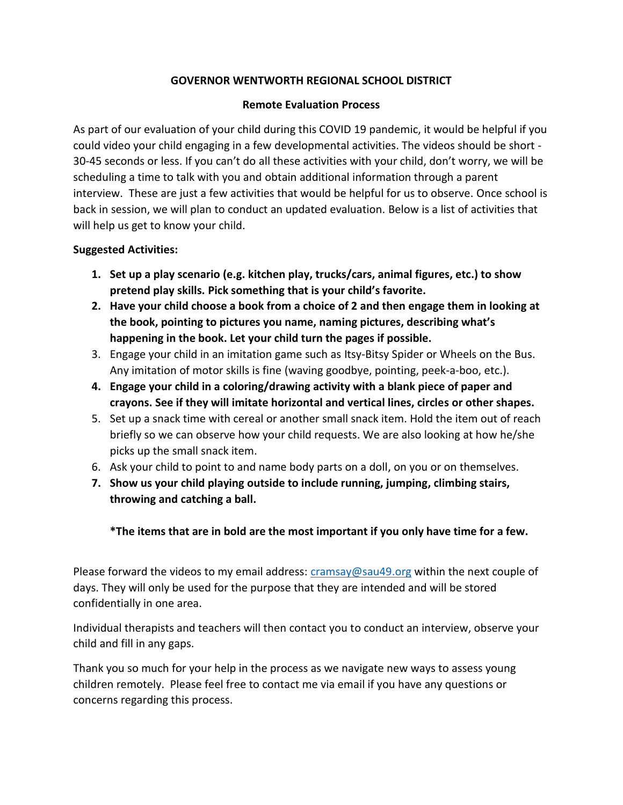## **GOVERNOR WENTWORTH REGIONAL SCHOOL DISTRICT**

## **Remote Evaluation Process**

As part of our evaluation of your child during this COVID 19 pandemic, it would be helpful if you could video your child engaging in a few developmental activities. The videos should be short - 30-45 seconds or less. If you can't do all these activities with your child, don't worry, we will be scheduling a time to talk with you and obtain additional information through a parent interview. These are just a few activities that would be helpful for us to observe. Once school is back in session, we will plan to conduct an updated evaluation. Below is a list of activities that will help us get to know your child.

## **Suggested Activities:**

- **1. Set up a play scenario (e.g. kitchen play, trucks/cars, animal figures, etc.) to show pretend play skills. Pick something that is your child's favorite.**
- **2. Have your child choose a book from a choice of 2 and then engage them in looking at the book, pointing to pictures you name, naming pictures, describing what's happening in the book. Let your child turn the pages if possible.**
- 3. Engage your child in an imitation game such as Itsy-Bitsy Spider or Wheels on the Bus. Any imitation of motor skills is fine (waving goodbye, pointing, peek-a-boo, etc.).
- **4. Engage your child in a coloring/drawing activity with a blank piece of paper and crayons. See if they will imitate horizontal and vertical lines, circles or other shapes.**
- 5. Set up a snack time with cereal or another small snack item. Hold the item out of reach briefly so we can observe how your child requests. We are also looking at how he/she picks up the small snack item.
- 6. Ask your child to point to and name body parts on a doll, on you or on themselves.
- **7. Show us your child playing outside to include running, jumping, climbing stairs, throwing and catching a ball.**

**\*The items that are in bold are the most important if you only have time for a few.**

Please forward the videos to my email address:  $c$ ramsay@sau49.org within the next couple of days. They will only be used for the purpose that they are intended and will be stored confidentially in one area.

Individual therapists and teachers will then contact you to conduct an interview, observe your child and fill in any gaps.

Thank you so much for your help in the process as we navigate new ways to assess young children remotely. Please feel free to contact me via email if you have any questions or concerns regarding this process.